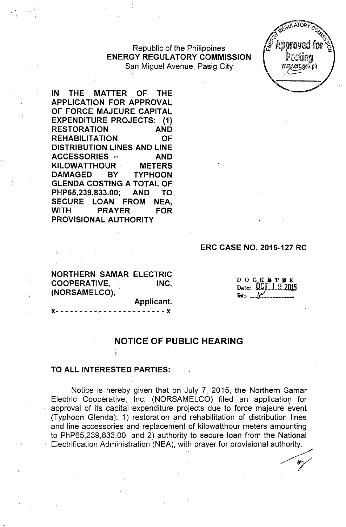Republic of the Philippines **ENERGY REGULATORY COMMISSION** San Miguel Avenue, Pasig City



**IN THE MATTER OF THE APPLICATION FOR APPROVAL OF FORCE MAJEURE CAPITAL EXPENDITURE PROJECTS: (1) RESTORATION AND REHABILITATION OF DISTRIBUTION LINES AND LINE ACCESSORIES .' AND KILOWATTHOUR . METERS DAMAGED BY TYPHOON GLENDA COSTING A TOTAL OF PHP65,239,833.00; AND TO SECURE LOAN FROM NEA, WITH PRAYER FOR PROVISIONAL AUTHORITY**

**ERC CASE NO. 2015-127 RC**

**NORTHERN SAMAR ELECTRIC COOPERATIVE, INC. (NORSAMELCO),**

**Applicant.**

**x- - - - - - - - -- - - - - - -- - - - - - -** x

 $D$  O  $C$  K  $E$  T E  $D$ Date: OCT 1 9 2015

## **NOTICE OF PUBLIC HEARING**

## **TO ALL INTERESTED PARTIES:**

Notice is hereby given that on July 7, 2015, the Northern Samar Electric Cooperative, Inc. (NORSAMELCO) filed an application for approval of its capital expenditure projects due to force majeure event (Typhoon Glenda): 1) restoration and rehabilitation of distribution lines and line accessories and replacement of kilowatthour meters amounting to PhP65,239,833.00; and 2) authority to secure loan from the National Electrification Administration (NEA), with prayer for provisional authority.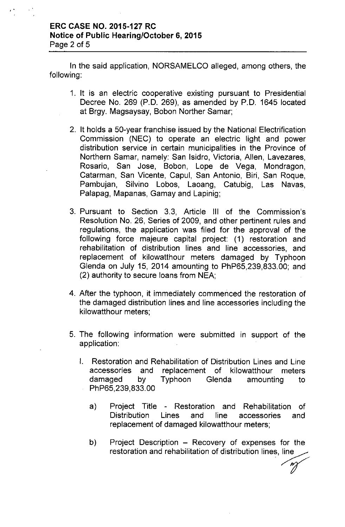## ERC CASE NO. 2015-127 RC Notice of Public Hearing/October 6, 2015 Page 2 of 5

In the said application, NORSAMELCO alleged, among others, the following:

- 1. It is an electric cooperative existing pursuant to Presidential Decree No. 269 (P.O. 269), as amended by P.O. 1645 located at Brgy. Magsaysay, Bobon Norther Samar;
- 2. It holds a 50-year franchise issued by the National Electrification Commission (NEC) to operate an electric light and power distribution service in certain municipalities in the Province of Northern Samar, namely: San Isidro, Victoria, Allen, Lavezares, Rosario, San Jose, Bobon, Lope de Vega, Mondragon, Catarman, San Vicente, Capul, San Antonio, Biri, San Roque, Pambujan, Silvino Lobos, Laoang, Catubig, Las Navas, Palapag, Mapanas, Gamay and Lapinig;
- 3. Pursuant to Section 3.3, Article III of the Commission's Resolution No. 26, Series of 2009, and other pertinent rules and regulations, the application was filed for the approval of the following force majeure capital project: (1) restoration and rehabilitation of distribution lines and line accessories, and replacement of kilowatthour meters damaged by Typhoon Glenda on July 15, 2014 amounting to PhP65,239,833.00; and (2) authority to secure loans from NEA;
- 4. After the typhoon, it immediately commenced the restoration of the damaged distribution lines and line accessories including the kilowatthour meters;
- 5. The following information were submitted in support of the application:
	- I. Restoration and Rehabilitation of Distribution Lines and Line accessories and replacement of kilowatthour meters damaged by Typhoon Glenda amounting to PhP65,239,833.00
		- a) Project Title Restoration and Rehabilitation of Distribution Lines and line accessories and replacement of damaged kilowatthour meters;
		- b) Project Description Recovery of expenses for the restoration and rehabilitation of distribution lines, line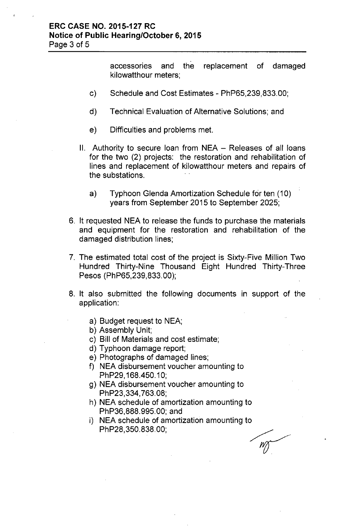accessories and the replacement of damaged kilowatthour meters;

- c) Schedule and Cost Estimates PhP65,239,833.00;
- d) Technical Evaluation of Alternative Solutions; and
- e) Difficulties and problems met.
- II. Authority to secure loan from NEA Releases of all loans for the two (2) projects: the restoration and rehabilitation of lines and replacement of kilowatthour meters and repairs of the substations.
	- a) Typhoon Glenda Amortization Schedule for ten (10) years from September 2015 to September 2025;
- 6. It requested NEA to release the funds to purchase the materials and equipment for the restoration and rehabilitation of the damaged distribution lines;
- 7. The estimated total cost of the project is Sixty-Five Million Two Hundred Thirty-Nine Thousand Eight Hundred Thirty-Three Pesos (PhP65,239,833.00);
- 8. It also submitted the following documents in support of the application:
	- a) Budget request to NEA;
	- b) Assembly Unit;
	- c) Bill of Materials and cost estimate;
	- d) Typhoon damage report;
	- e) Photographs of damaged lines;
	- f) NEA disbursement voucher amounting to PhP29, 168.450.10;
	- g) NEA disbursement voucher amounting to PhP23,334,763.08;
	- h) NEA schedule of amortization amounting to PhP36,888.995.00; and
	- i) NEA schedule of amortization amounting to PhP28,350.838.00;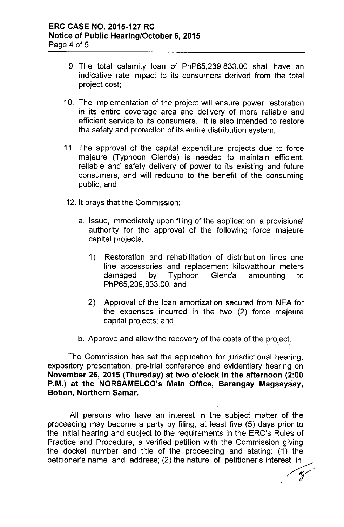- 9. The total calamity loan of PhP65,239,833.00 shall have an indicative rate impact to its consumers derived from the total project cost;
- 10. The implementation of the project will ensure power restoration in its entire coverage area and delivery of more reliable and efficient service to its consumers. It is also intended to restore the safety and protection of its entire distribution system;
- 11. The approval of the capital expenditure projects due to force majeure (Typhoon Glenda) is needed to maintain efficient, reliable and safety delivery of power to its existing and future consumers, and will redound to the benefit of the consuming public; and
- 12. It prays that the Commission:
	- a. Issue, immediately upon filing of the application, a provisional authority for the approval of the following force majeure capital projects:
		- 1) Restoration and rehabilitation of distribution lines and line accessories and replacement kilowatthour meters damaged by Typhoon Glenda amounting to PhP65,239,833.00; and
		- 2) Approval of the loan amortization secured from NEA for the expenses incurred in the two (2) force majeure capital projects; and
	- b. Approve and allow the recovery of the costs of the project.

The Commission has set the application for jurisdictional hearing, expository presentation, pre-trial conference and evidentiary hearing on November 26, 2015 (Thursday) at two o'clock in the afternoon (2:00 P.M.) at the NORSAMELCO's Main Office, Barangay Magsaysay, Bobon, Northern Samar.

All persons who have an interest in the subject matter of the proceeding may become a party by filing, at least five (5) days prior to the initial hearing and subject to the requirements in the ERC's Rules of Practice and Procedure, a verified petition with the Commission giving the docket number and title of the proceeding and stating: (1) the petitioner's name and address; (2) the nature of petitioner's interest in<br> *m*